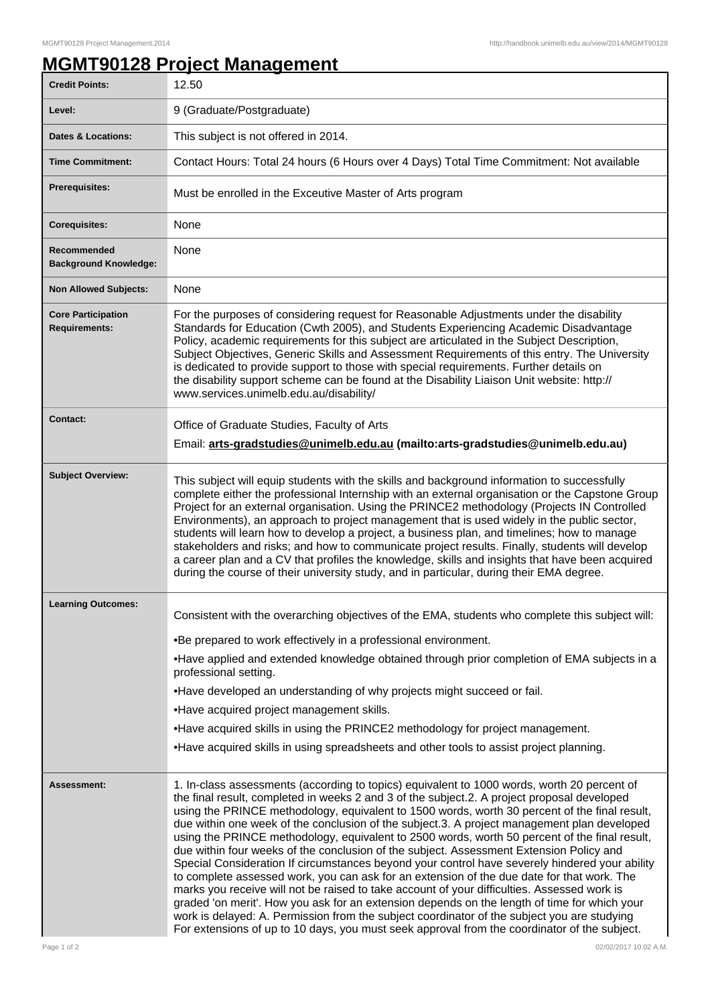## **MGMT90128 Project Management**

| <b>Credit Points:</b>                             | 12.50                                                                                                                                                                                                                                                                                                                                                                                                                                                                                                                                                                                                                                                                                                                                                                                                                                                                                                                                                                                                                                                                                                                                                                                |
|---------------------------------------------------|--------------------------------------------------------------------------------------------------------------------------------------------------------------------------------------------------------------------------------------------------------------------------------------------------------------------------------------------------------------------------------------------------------------------------------------------------------------------------------------------------------------------------------------------------------------------------------------------------------------------------------------------------------------------------------------------------------------------------------------------------------------------------------------------------------------------------------------------------------------------------------------------------------------------------------------------------------------------------------------------------------------------------------------------------------------------------------------------------------------------------------------------------------------------------------------|
| Level:                                            | 9 (Graduate/Postgraduate)                                                                                                                                                                                                                                                                                                                                                                                                                                                                                                                                                                                                                                                                                                                                                                                                                                                                                                                                                                                                                                                                                                                                                            |
| <b>Dates &amp; Locations:</b>                     | This subject is not offered in 2014.                                                                                                                                                                                                                                                                                                                                                                                                                                                                                                                                                                                                                                                                                                                                                                                                                                                                                                                                                                                                                                                                                                                                                 |
| <b>Time Commitment:</b>                           | Contact Hours: Total 24 hours (6 Hours over 4 Days) Total Time Commitment: Not available                                                                                                                                                                                                                                                                                                                                                                                                                                                                                                                                                                                                                                                                                                                                                                                                                                                                                                                                                                                                                                                                                             |
| <b>Prerequisites:</b>                             | Must be enrolled in the Exceutive Master of Arts program                                                                                                                                                                                                                                                                                                                                                                                                                                                                                                                                                                                                                                                                                                                                                                                                                                                                                                                                                                                                                                                                                                                             |
| <b>Corequisites:</b>                              | None                                                                                                                                                                                                                                                                                                                                                                                                                                                                                                                                                                                                                                                                                                                                                                                                                                                                                                                                                                                                                                                                                                                                                                                 |
| Recommended<br><b>Background Knowledge:</b>       | None                                                                                                                                                                                                                                                                                                                                                                                                                                                                                                                                                                                                                                                                                                                                                                                                                                                                                                                                                                                                                                                                                                                                                                                 |
| <b>Non Allowed Subjects:</b>                      | None                                                                                                                                                                                                                                                                                                                                                                                                                                                                                                                                                                                                                                                                                                                                                                                                                                                                                                                                                                                                                                                                                                                                                                                 |
| <b>Core Participation</b><br><b>Requirements:</b> | For the purposes of considering request for Reasonable Adjustments under the disability<br>Standards for Education (Cwth 2005), and Students Experiencing Academic Disadvantage<br>Policy, academic requirements for this subject are articulated in the Subject Description,<br>Subject Objectives, Generic Skills and Assessment Requirements of this entry. The University<br>is dedicated to provide support to those with special requirements. Further details on<br>the disability support scheme can be found at the Disability Liaison Unit website: http://<br>www.services.unimelb.edu.au/disability/                                                                                                                                                                                                                                                                                                                                                                                                                                                                                                                                                                     |
| <b>Contact:</b>                                   | Office of Graduate Studies, Faculty of Arts<br>Email: arts-gradstudies@unimelb.edu.au (mailto:arts-gradstudies@unimelb.edu.au)                                                                                                                                                                                                                                                                                                                                                                                                                                                                                                                                                                                                                                                                                                                                                                                                                                                                                                                                                                                                                                                       |
| <b>Subject Overview:</b>                          | This subject will equip students with the skills and background information to successfully<br>complete either the professional Internship with an external organisation or the Capstone Group<br>Project for an external organisation. Using the PRINCE2 methodology (Projects IN Controlled<br>Environments), an approach to project management that is used widely in the public sector,<br>students will learn how to develop a project, a business plan, and timelines; how to manage<br>stakeholders and risks; and how to communicate project results. Finally, students will develop<br>a career plan and a CV that profiles the knowledge, skills and insights that have been acquired<br>during the course of their university study, and in particular, during their EMA degree.                                                                                                                                                                                                                                                                                                                                                                                          |
| <b>Learning Outcomes:</b>                         | Consistent with the overarching objectives of the EMA, students who complete this subject will:<br>•Be prepared to work effectively in a professional environment.<br>•Have applied and extended knowledge obtained through prior completion of EMA subjects in a<br>professional setting.<br>•Have developed an understanding of why projects might succeed or fail.<br>•Have acquired project management skills.<br>•Have acquired skills in using the PRINCE2 methodology for project management.<br>•Have acquired skills in using spreadsheets and other tools to assist project planning.                                                                                                                                                                                                                                                                                                                                                                                                                                                                                                                                                                                      |
| Assessment:                                       | 1. In-class assessments (according to topics) equivalent to 1000 words, worth 20 percent of<br>the final result, completed in weeks 2 and 3 of the subject.2. A project proposal developed<br>using the PRINCE methodology, equivalent to 1500 words, worth 30 percent of the final result,<br>due within one week of the conclusion of the subject.3. A project management plan developed<br>using the PRINCE methodology, equivalent to 2500 words, worth 50 percent of the final result,<br>due within four weeks of the conclusion of the subject. Assessment Extension Policy and<br>Special Consideration If circumstances beyond your control have severely hindered your ability<br>to complete assessed work, you can ask for an extension of the due date for that work. The<br>marks you receive will not be raised to take account of your difficulties. Assessed work is<br>graded 'on merit'. How you ask for an extension depends on the length of time for which your<br>work is delayed: A. Permission from the subject coordinator of the subject you are studying<br>For extensions of up to 10 days, you must seek approval from the coordinator of the subject. |